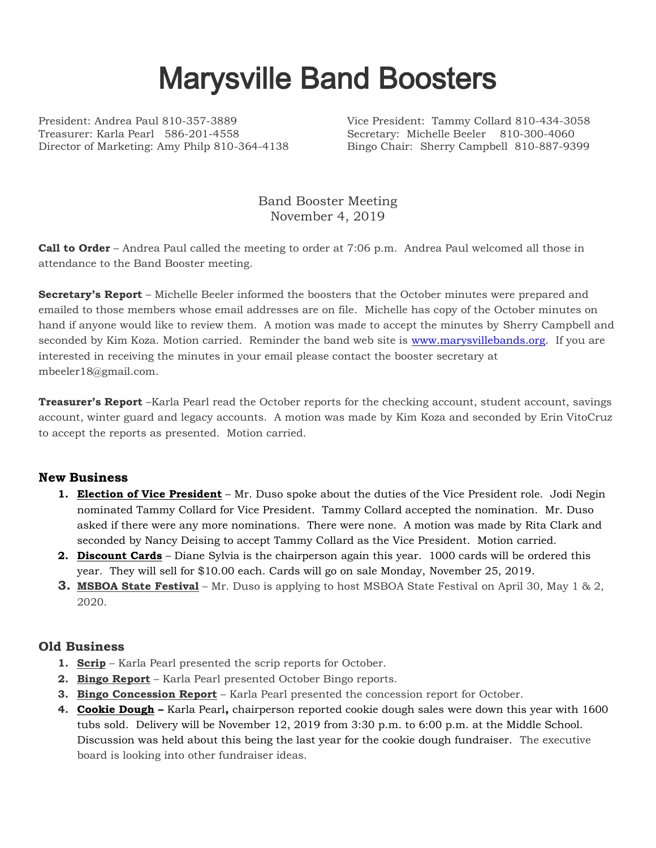## Marysville Band Boosters

President: Andrea Paul 810-357-3889 Vice President: Tammy Collard 810-434-3058 Treasurer: Karla Pearl 586-201-4558 Secretary: Michelle Beeler 810-300-4060 Director of Marketing: Amy Philp 810-364-4138 Bingo Chair: Sherry Campbell 810-887-9399

Band Booster Meeting November 4, 2019

**Call to Order** – Andrea Paul called the meeting to order at 7:06 p.m. Andrea Paul welcomed all those in attendance to the Band Booster meeting.

**Secretary's Report** – Michelle Beeler informed the boosters that the October minutes were prepared and emailed to those members whose email addresses are on file. Michelle has copy of the October minutes on hand if anyone would like to review them. A motion was made to accept the minutes by Sherry Campbell and seconded by Kim Koza. Motion carried. Reminder the band web site is [www.marysvillebands.org.](http://www.marysvillebands.org/) If you are interested in receiving the minutes in your email please contact the booster secretary at mbeeler18@gmail.com.

**Treasurer's Report** –Karla Pearl read the October reports for the checking account, student account, savings account, winter guard and legacy accounts. A motion was made by Kim Koza and seconded by Erin VitoCruz to accept the reports as presented. Motion carried.

## **New Business**

- **1. Election of Vice President** Mr. Duso spoke about the duties of the Vice President role. Jodi Negin nominated Tammy Collard for Vice President. Tammy Collard accepted the nomination. Mr. Duso asked if there were any more nominations. There were none. A motion was made by Rita Clark and seconded by Nancy Deising to accept Tammy Collard as the Vice President. Motion carried.
- **2. Discount Cards** Diane Sylvia is the chairperson again this year. 1000 cards will be ordered this year. They will sell for \$10.00 each. Cards will go on sale Monday, November 25, 2019.
- **3. MSBOA State Festival** Mr. Duso is applying to host MSBOA State Festival on April 30, May 1 & 2, 2020.

## **Old Business**

- **1. Scrip** Karla Pearl presented the scrip reports for October.
- **2. Bingo Report** Karla Pearl presented October Bingo reports.
- **3. Bingo Concession Report** Karla Pearl presented the concession report for October.
- **4. Cookie Dough –** Karla Pearl**,** chairperson reported cookie dough sales were down this year with 1600 tubs sold. Delivery will be November 12, 2019 from 3:30 p.m. to 6:00 p.m. at the Middle School. Discussion was held about this being the last year for the cookie dough fundraiser. The executive board is looking into other fundraiser ideas.